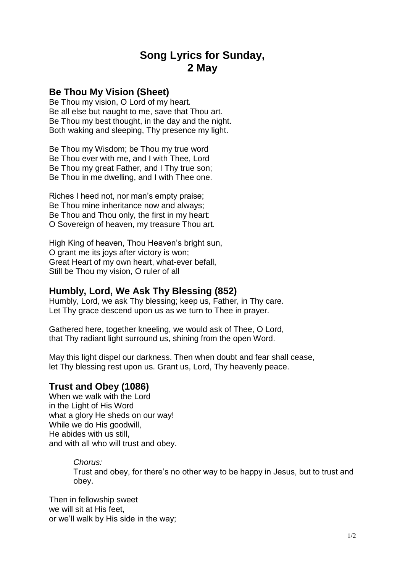# **Song Lyrics for Sunday, 2 May**

## **Be Thou My Vision (Sheet)**

Be Thou my vision, O Lord of my heart. Be all else but naught to me, save that Thou art. Be Thou my best thought, in the day and the night. Both waking and sleeping, Thy presence my light.

Be Thou my Wisdom; be Thou my true word Be Thou ever with me, and I with Thee, Lord Be Thou my great Father, and I Thy true son; Be Thou in me dwelling, and I with Thee one.

Riches I heed not, nor man's empty praise; Be Thou mine inheritance now and always; Be Thou and Thou only, the first in my heart: O Sovereign of heaven, my treasure Thou art.

High King of heaven, Thou Heaven's bright sun, O grant me its joys after victory is won; Great Heart of my own heart, what-ever befall, Still be Thou my vision, O ruler of all

### **Humbly, Lord, We Ask Thy Blessing (852)**

Humbly, Lord, we ask Thy blessing; keep us, Father, in Thy care. Let Thy grace descend upon us as we turn to Thee in prayer.

Gathered here, together kneeling, we would ask of Thee, O Lord, that Thy radiant light surround us, shining from the open Word.

May this light dispel our darkness. Then when doubt and fear shall cease, let Thy blessing rest upon us. Grant us, Lord, Thy heavenly peace.

#### **Trust and Obey (1086)**

When we walk with the Lord in the Light of His Word what a glory He sheds on our way! While we do His goodwill, He abides with us still, and with all who will trust and obey.

#### *Chorus:*

Trust and obey, for there's no other way to be happy in Jesus, but to trust and obey.

Then in fellowship sweet we will sit at His feet, or we'll walk by His side in the way;